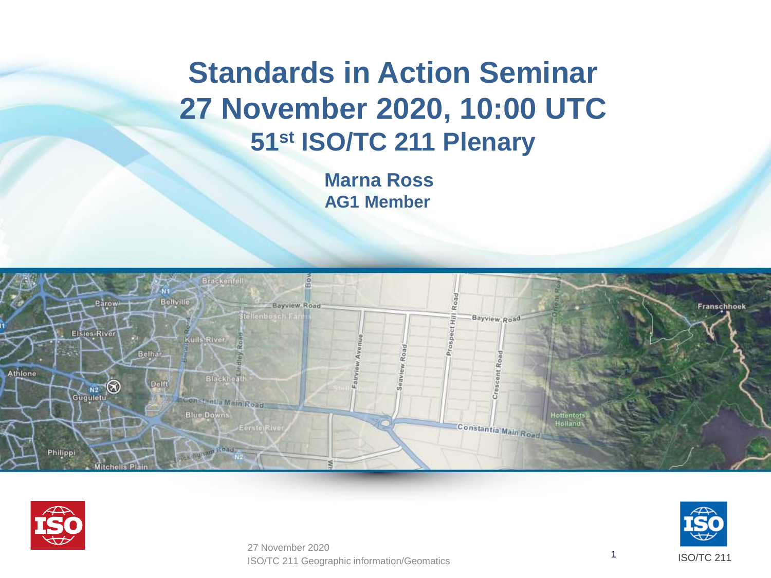## **Standards in Action Seminar 27 November 2020, 10:00 UTC 51 st ISO/TC 211 Plenary**

**Marna Ross AG1 Member**







ISO/TC 211 Geographic information/Geomatics <sup>1</sup> 27 November 2020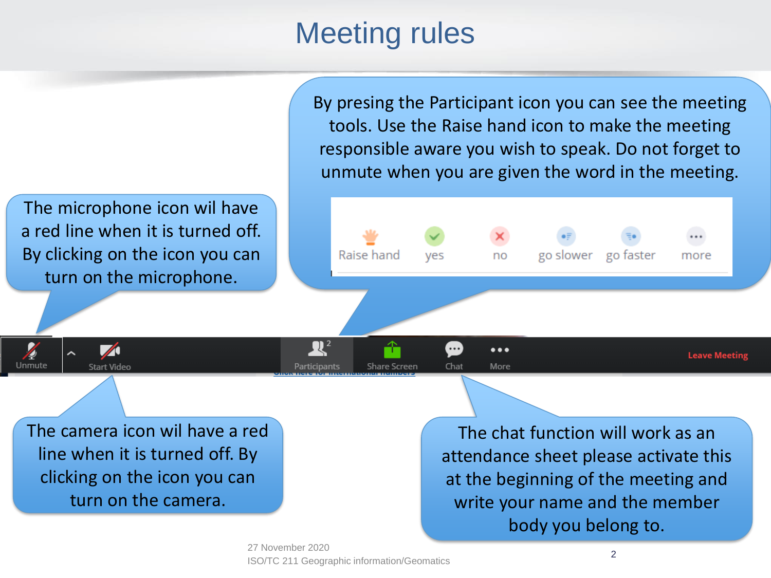## Meeting rules

By presing the Participant icon you can see the meeting tools. Use the Raise hand icon to make the meeting responsible aware you wish to speak. Do not forget to unmute when you are given the word in the meeting.

The microphone icon wil have a red line when it is turned off. By clicking on the icon you can turn on the microphone.

 $\blacktriangleright$ 

**Start Video** 

Unmute



The camera icon wil have a red line when it is turned off. By clicking on the icon you can turn on the camera.

The chat function will work as an attendance sheet please activate this at the beginning of the meeting and write your name and the member body you belong to.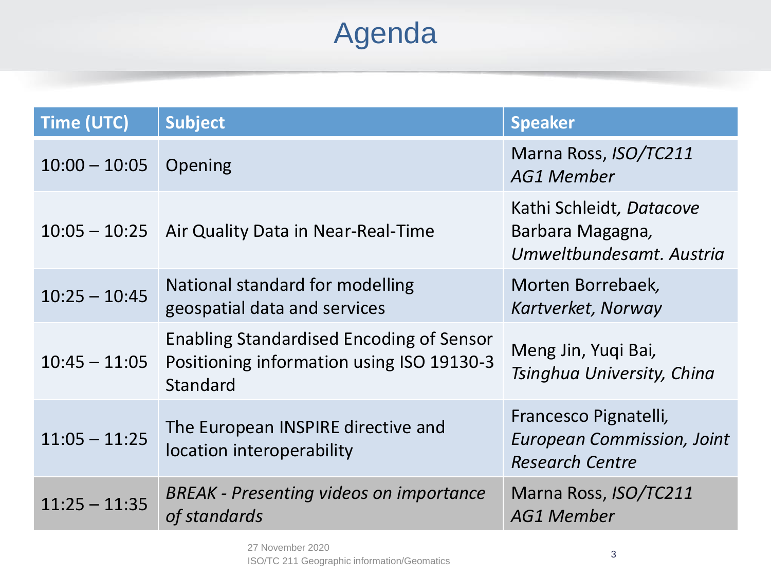## Agenda

| <b>Time (UTC)</b> | <b>Subject</b>                                                                                           | <b>Speaker</b>                                                                       |
|-------------------|----------------------------------------------------------------------------------------------------------|--------------------------------------------------------------------------------------|
| $10:00 - 10:05$   | Opening                                                                                                  | Marna Ross, ISO/TC211<br><b>AG1 Member</b>                                           |
|                   | 10:05 - 10:25   Air Quality Data in Near-Real-Time                                                       | Kathi Schleidt, Datacove<br>Barbara Magagna,<br>Umweltbundesamt, Austria             |
| $10:25 - 10:45$   | National standard for modelling<br>geospatial data and services                                          | Morten Borrebaek,<br>Kartverket, Norway                                              |
| $10:45 - 11:05$   | <b>Enabling Standardised Encoding of Sensor</b><br>Positioning information using ISO 19130-3<br>Standard | Meng Jin, Yuqi Bai,<br>Tsinghua University, China                                    |
| $11:05 - 11:25$   | The European INSPIRE directive and<br>location interoperability                                          | Francesco Pignatelli,<br><b>European Commission, Joint</b><br><b>Research Centre</b> |
| $11:25 - 11:35$   | <b>BREAK - Presenting videos on importance</b><br>of standards                                           | Marna Ross, ISO/TC211<br><b>AG1 Member</b>                                           |